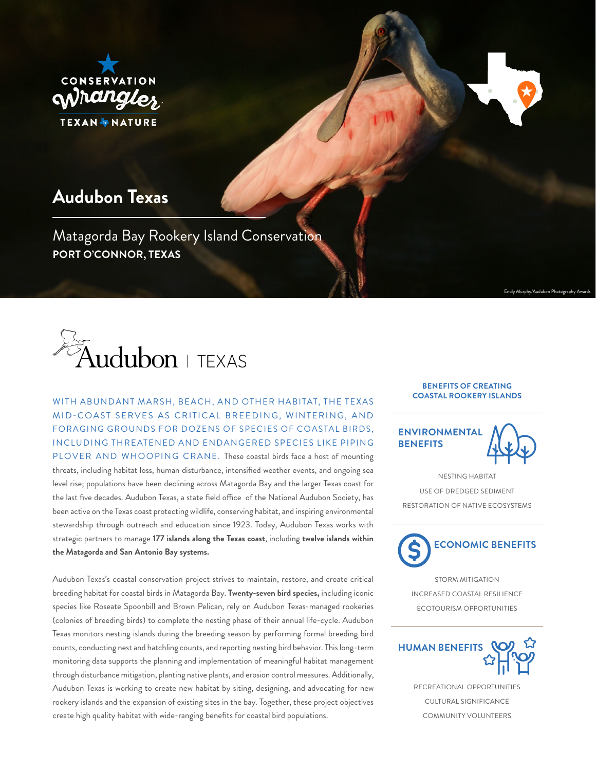

# **Audubon Texas**

Matagorda Bay Rookery Island Conservation **PORT O'CONNOR, TEXAS**



WITH ABUNDANT MARSH, BEACH, AND OTHER HABITAT, THE TEXAS MID-COAST SERVES AS CRITICAL BREEDING, WINTERING, AND FORAGING GROUNDS FOR DOZENS OF SPECIES OF COASTAL BIRDS, INCLUDING THREATENED AND ENDANGERED SPECIES LIKE PIPING PLOVER AND WHOOPING CRANE. These coastal birds face a host of mounting threats, including habitat loss, human disturbance, intensified weather events, and ongoing sea level rise; populations have been declining across Matagorda Bay and the larger Texas coast for the last five decades. Audubon Texas, a state field office of the National Audubon Society, has been active on the Texas coast protecting wildlife, conserving habitat, and inspiring environmental stewardship through outreach and education since 1923. Today, Audubon Texas works with strategic partners to manage **177 islands along the Texas coast**, including **twelve islands within the Matagorda and San Antonio Bay systems.**

Audubon Texas's coastal conservation project strives to maintain, restore, and create critical breeding habitat for coastal birds in Matagorda Bay. **Twenty-seven bird species,** including iconic species like Roseate Spoonbill and Brown Pelican, rely on Audubon Texas-managed rookeries (colonies of breeding birds) to complete the nesting phase of their annual life-cycle. Audubon Texas monitors nesting islands during the breeding season by performing formal breeding bird counts, conducting nest and hatchling counts, and reporting nesting bird behavior. This long-term monitoring data supports the planning and implementation of meaningful habitat management through disturbance mitigation, planting native plants, and erosion control measures. Additionally, Audubon Texas is working to create new habitat by siting, designing, and advocating for new rookery islands and the expansion of existing sites in the bay. Together, these project objectives create high quality habitat with wide-ranging benefits for coastal bird populations.

## **BENEFITS OF CREATING COASTAL ROOKERY ISLANDS**



NESTING HABITAT USE OF DREDGED SEDIMENT RESTORATION OF NATIVE ECOSYSTEMS



STORM MITIGATION INCREASED COASTAL RESILIENCE ECOTOURISM OPPORTUNITIES



RECREATIONAL OPPORTUNITIES CULTURAL SIGNIFICANCE COMMUNITY VOLUNTEERS